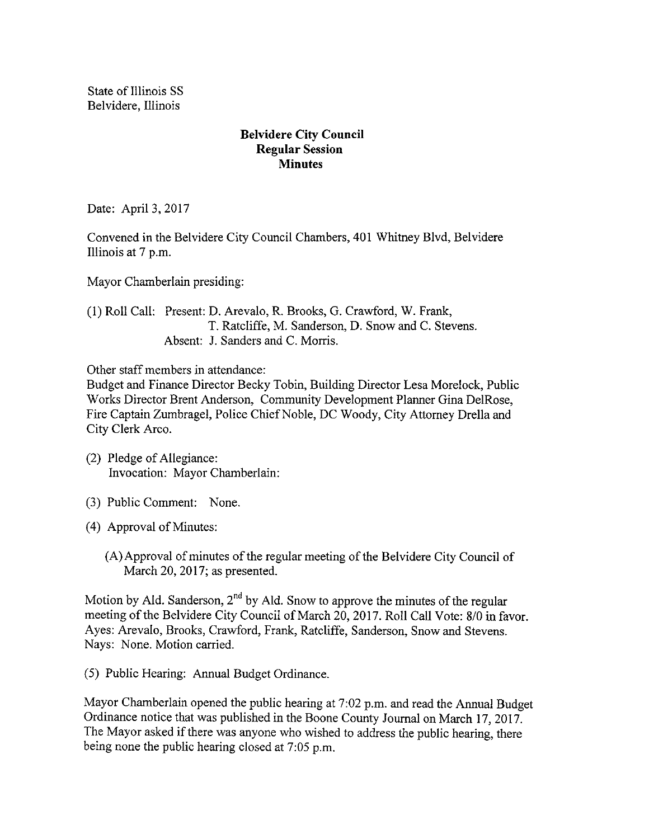State of Illinois SS Belvidere, Illinois

## Belvidere City Council Regular Session **Minutes**

Date: April 3, 2017

Convened in the Belvidere City Council Chambers, 401 Whitney Blvd, Belvidere Illinois at 7 p.m.

Mayor Chamberlain presiding:

1) Roll Call: Present: D. Arevalo, R. Brooks, G. Crawford, W. Frank, T. Ratcliffe, M. Sanderson, D. Snow and C. Stevens. Absent: J. Sanders and C. Morris.

Other staff members in attendance:

Budget and Finance Director Becky Tobin, Building Director Lesa Morelock, Public Works Director Brent Anderson, Community Development Planner Gina DelRose, Fire Captain Zumbragel, Police Chief Noble, DC Woody, City Attorney Drella and City Clerk Arco.

- 2) Pledge of Allegiance: Invocation: Mayor Chamberlain:
- 3) Public Comment: None.
- 4) Approval of Minutes:
	- A)Approval of minutes of the regular meeting of the Belvidere City Council of March 20, 2017; as presented.

Motion by Ald. Sanderson, 2<sup>nd</sup> by Ald. Snow to approve the minutes of the regular meeting of the Belvidere City Council of March 20, 2017. Roll Call Vote: 8/0 in favor. Ayes: Arevalo, Brooks, Crawford, Frank, Ratcliffe, Sanderson, Snow and Stevens. Nays: None. Motion carried.

5) Public Hearing: Annual Budget Ordinance.

Mayor Chamberlain opened the public hearing at 7:02 p.m. and read the Annual Budget Ordinance notice that was published in the Boone County Journal on March 17, 2017. The Mayor asked if there was anyone who wished to address the public hearing, there being none the public hearing closed at 7:05 p.m.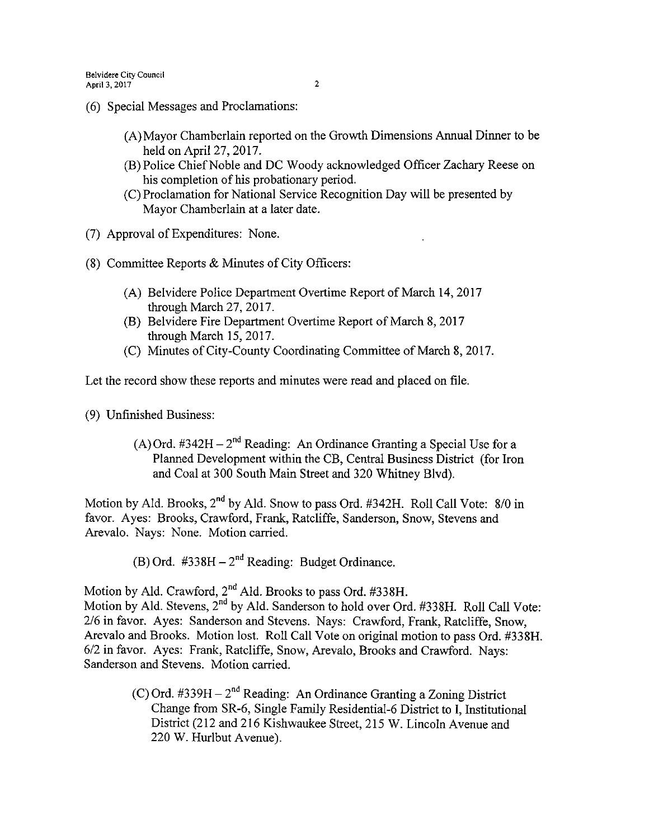- 6) Special Messages and Proclamations:
	- A) Mayor Chamberlain reported on the Growth Dimensions Annual Dinner to be held on April 27, 2017.
	- B) Police Chief Noble and DC Woody acknowledged Officer Zachary Reese on his completion of his probationary period.
	- C) Proclamation for National Service Recognition Day will be presented by Mayor Chamberlain at a later date.
- 7) Approval of Expenditures: None.
- 8) Committee Reports & Minutes of City Officers:
	- A) Belvidere Police Department Overtime Report of March 14, 2017 through March 27, 2017.
	- B) Belvidere Fire Department Overtime Report of March 8, 2017 through March 15, 2017.
	- C) Minutes of City-County Coordinating Committee of March 8, 2017.

Let the record show these reports and minutes were read and placed on file.

- 9) Unfinished Business:
	- (A) Ord.  $\text{\#342H} 2^{\text{nd}}$  Reading: An Ordinance Granting a Special Use for a Planned Development within the CB, Central Business District ( for Iron and Coal at 300 South Main Street and 320 Whitney Blvd).

Motion by Ald. Brooks, 2<sup>nd</sup> by Ald. Snow to pass Ord. #342H. Roll Call Vote: 8/0 in favor. Ayes: Brooks, Crawford, Frank, Ratcliffe, Sanderson, Snow, Stevens and Arevalo. Nays: None. Motion carried.

B) Ord. #338H - 2<sup>nd</sup> Reading: Budget Ordinance.

Motion by Ald. Crawford,  $2<sup>nd</sup>$  Ald. Brooks to pass Ord. #338H.

Motion by Ald. Stevens, 2<sup>nd</sup> by Ald. Sanderson to hold over Ord. #338H. Roll Call Vote: 2/6 in favor. Ayes: Sanderson and Stevens. Nays: Crawford, Frank, Ratcliffe, Snow, Arevalo and Brooks. Motion lost. Roll Call Vote on original motion to pass Ord. #338H. 6/2 in favor. Ayes: Frank, Ratcliffe, Snow, Arevalo, Brooks and Crawford. Nays: Sanderson and Stevens. Motion carried.

> C) Ord.  $\#339H - 2^{nd}$  Reading: An Ordinance Granting a Zoning District Change from SR-6, Single Family Residential-6 District to I, Institutional District (212 and 216 Kishwaukee Street, 215 W. Lincoln Avenue and 220 W. Hurlbut Avenue).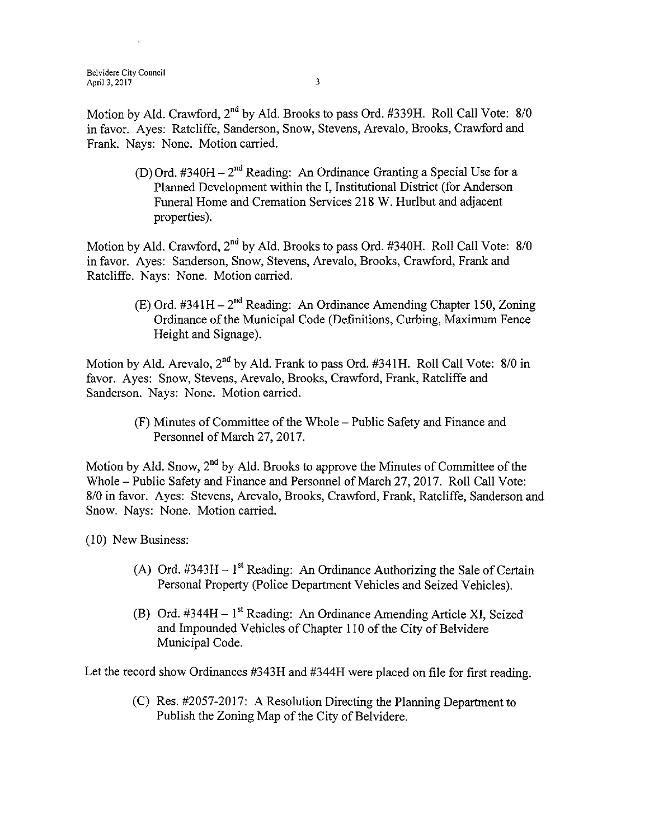Belvidere City Council April 3, 2017  $\frac{3}{2}$ 

Motion by Ald. Crawford, 2<sup>nd</sup> by Ald. Brooks to pass Ord. #339H. Roll Call Vote: 8/0 in favor. Ayes: Ratcliffe, Sanderson, Snow, Stevens, Arevalo, Brooks, Crawford and Frank. Nays: None. Motion carried.

> D) Ord. #340H – 2<sup>nd</sup> Reading: An Ordinance Granting a Special Use for a Planned Development within the I, Institutional District (for Anderson Funeral Home and Cremation Services 218 W. Hurlbut and adjacent properties).

Motion by Ald. Crawford, 2<sup>nd</sup> by Ald. Brooks to pass Ord. #340H. Roll Call Vote: 8/0 in favor. Ayes: Sanderson, Snow, Stevens, Arevalo, Brooks, Crawford, Frank and Ratcliffe. Nays: None. Motion carried.

> $(E)$  Ord. #341H – 2<sup>nd</sup> Reading: An Ordinance Amending Chapter 150, Zoning Ordinance of the Municipal Code ( Definitions, Curbing, Maximum Fence Height and Signage).

Motion by Ald. Arevalo,  $2^{nd}$  by Ald. Frank to pass Ord. #341H. Roll Call Vote: 8/0 in favor. Ayes: Snow, Stevens, Arevalo, Brooks, Crawford, Frank, Ratcliffe and Sanderson. Nays: None. Motion carried.

> F) Minutes of Committee of the Whole—Public Safety and Finance and Personnel of March 27, 2017.

Motion by Ald. Snow, 2<sup>nd</sup> by Ald. Brooks to approve the Minutes of Committee of the Whole— Public Safety and Finance and Personnel of March 27, 2017. Roll Call Vote: 8/0 in favor. Ayes: Stevens, Arevalo, Brooks, Crawford, Frank, Ratcliffe, Sanderson and Snow. Nays: None. Motion carried.

10) New Business:

- A) Ord.  $\#343H 1^{st}$  Reading: An Ordinance Authorizing the Sale of Certain Personal Property (Police Department Vehicles and Seized Vehicles).
- (B) Ord.  $#344H 1$ <sup>st</sup> Reading: An Ordinance Amending Article XI, Seized and Impounded Vehicles of Chapter 110 of the City of Belvidere Municipal Code.

Let the record show Ordinances # 343H and # 344H were placed on file for first reading.

 $(C)$  Res. #2057-2017: A Resolution Directing the Planning Department to Publish the Zoning Map of the City of Belvidere.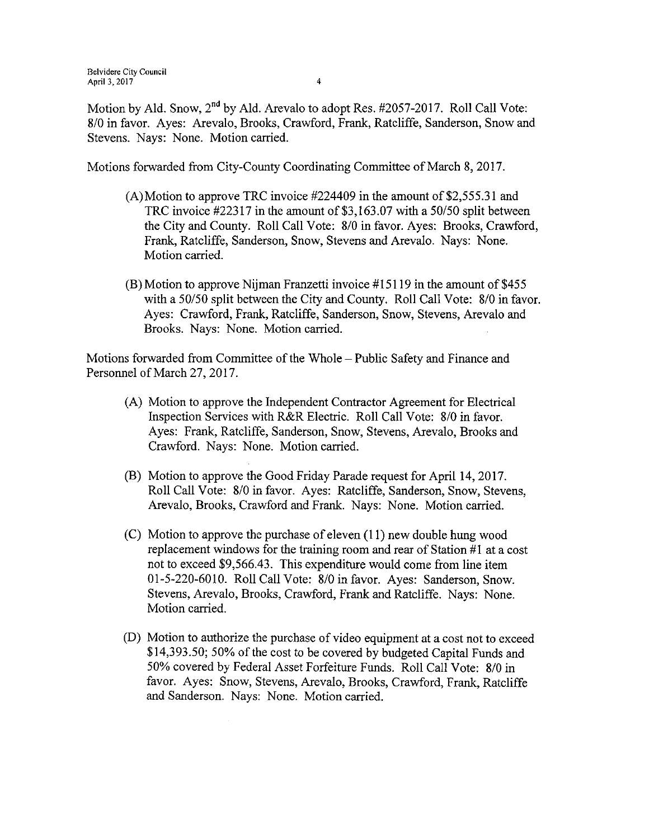Motion by Ald. Snow,  $2^{nd}$  by Ald. Arevalo to adopt Res. #2057-2017. Roll Call Vote: 8/0 in favor. Ayes: Arevalo, Brooks, Crawford, Frank, Ratcliffe, Sanderson, Snow and Stevens. Nays: None. Motion carried.

Motions forwarded from City-County Coordinating Committee of March 8, 2017.

- $(A)$ Motion to approve TRC invoice #224409 in the amount of \$2,555.31 and TRC invoice  $\text{\#22317}$  in the amount of \$3,163.07 with a 50/50 split between the City and County. Roll Call Vote: 8/0 in favor. Ayes: Brooks, Crawford, Frank, Ratcliffe, Sanderson, Snow, Stevens and Arevalo. Nays: None. Motion carried.
- $(B)$  Motion to approve Nijman Franzetti invoice #15119 in the amount of \$455 with a 50/50 split between the City and County. Roll Call Vote: 8/0 in favor. Ayes: Crawford, Frank, Ratcliffe, Sanderson, Snow, Stevens, Arevalo and Brooks. Nays: None. Motion carried.

Motions forwarded from Committee of the Whole— Public Safety and Finance and Personnel of March 27, 2017.

- A) Motion to approve the Independent Contractor Agreement for Electrical Inspection Services with R&R Electric. Roll Call Vote: 8/0 in favor. Ayes: Frank, Ratcliffe, Sanderson, Snow, Stevens, Arevalo, Brooks and Crawford. Nays: None. Motion carried.
- B) Motion to approve the Good Friday Parade request for April 14, 2017. Roll Call Vote: 8/0 in favor. Ayes: Ratcliffe, Sanderson, Snow, Stevens, Arevalo, Brooks, Crawford and Frank. Nays: None. Motion carried.
- $(C)$  Motion to approve the purchase of eleven  $(11)$  new double hung wood replacement windows for the training room and rear of Station  $#1$  at a cost not to exceed \$9,566.43. This expenditure would come from line item 01-5-220-6010. Roll Call Vote: 8/0 in favor. Ayes: Sanderson, Snow. Stevens, Arevalo, Brooks, Crawford, Frank and Ratcliffe. Nays: None. Motion carried.
- D) Motion to authorize the purchase of video equipment at a cost not to exceed 14, 393. 50; 50% of the cost to be covered by budgeted Capital Funds and 50% covered by Federal Asset Forfeiture Funds. Roll Call Vote: 8/0 in favor. Ayes: Snow, Stevens, Arevalo, Brooks, Crawford, Frank, Ratcliffe and Sanderson. Nays: None. Motion carried.